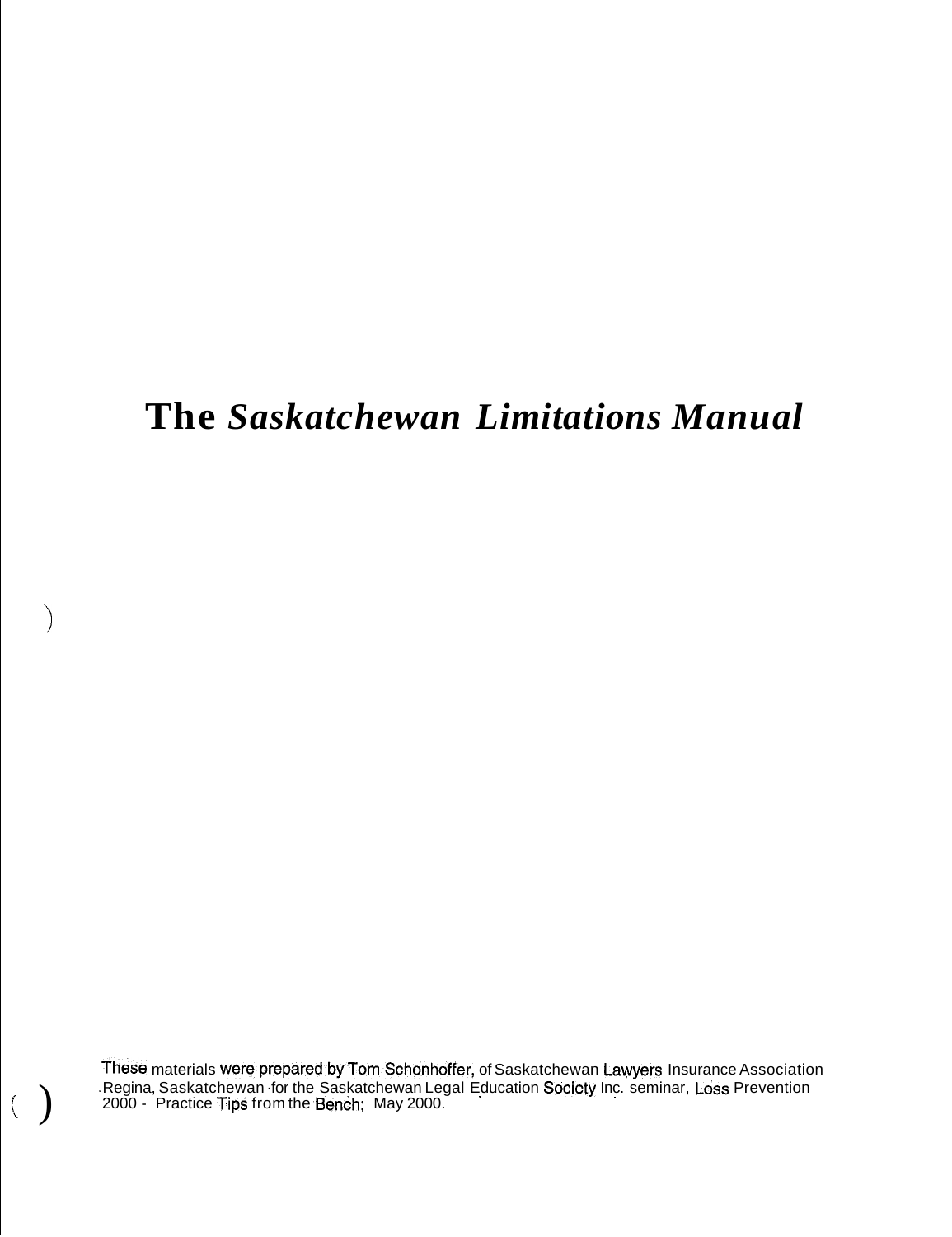# **The** *Saskatchewan Limitations Manual*

)

 $($   $)$ 

These materials were prepared by Tom Schonhoffer, of Saskatchewan Lawyers Insurance Association Regina, Saskatchewan for the Saskatchewan Legal Education Society Inc. seminar, Loss Prevention 2000 - Practice Tips from the Bench; May 2000. . .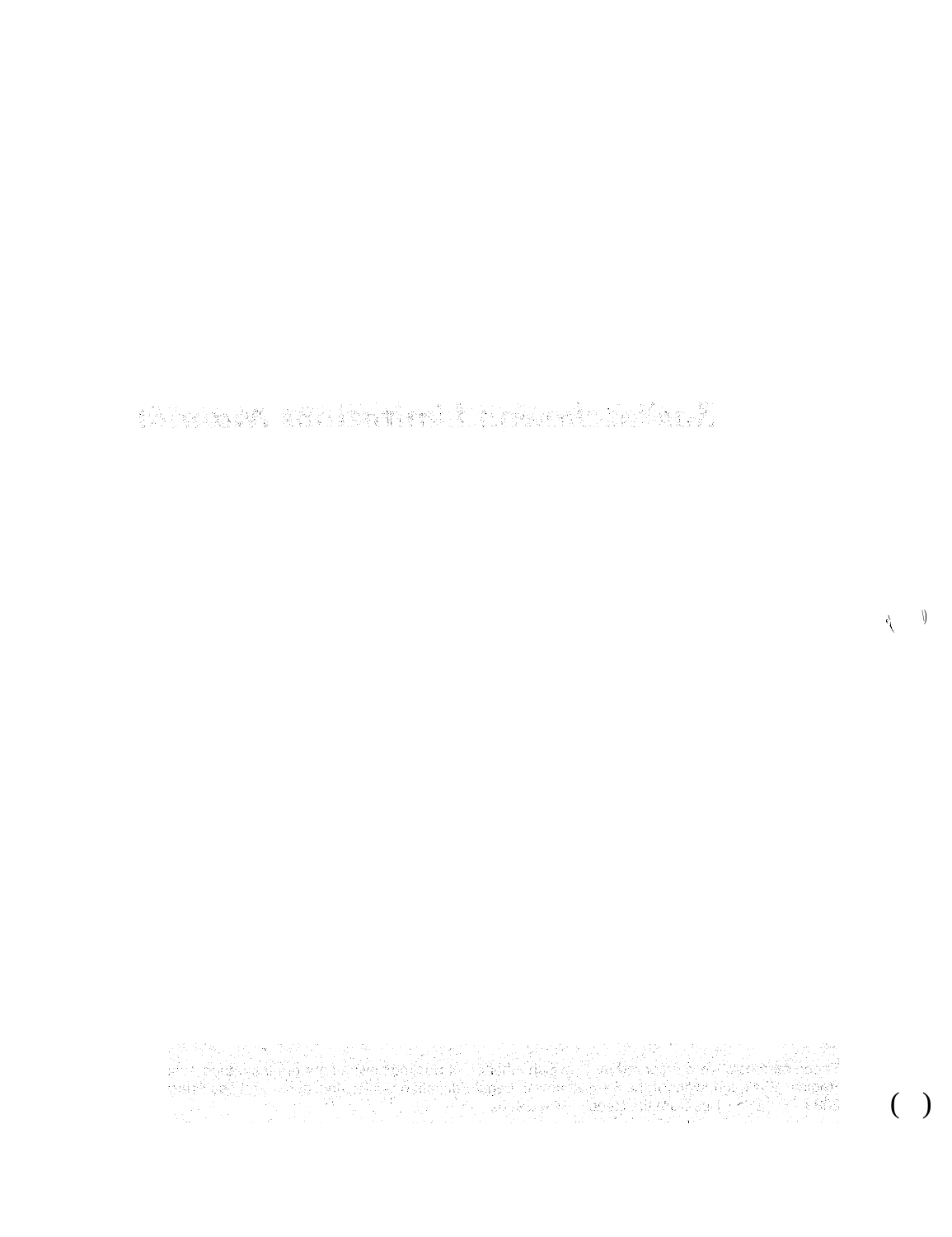the property will be the theory of the contract of

Ą

 $\left($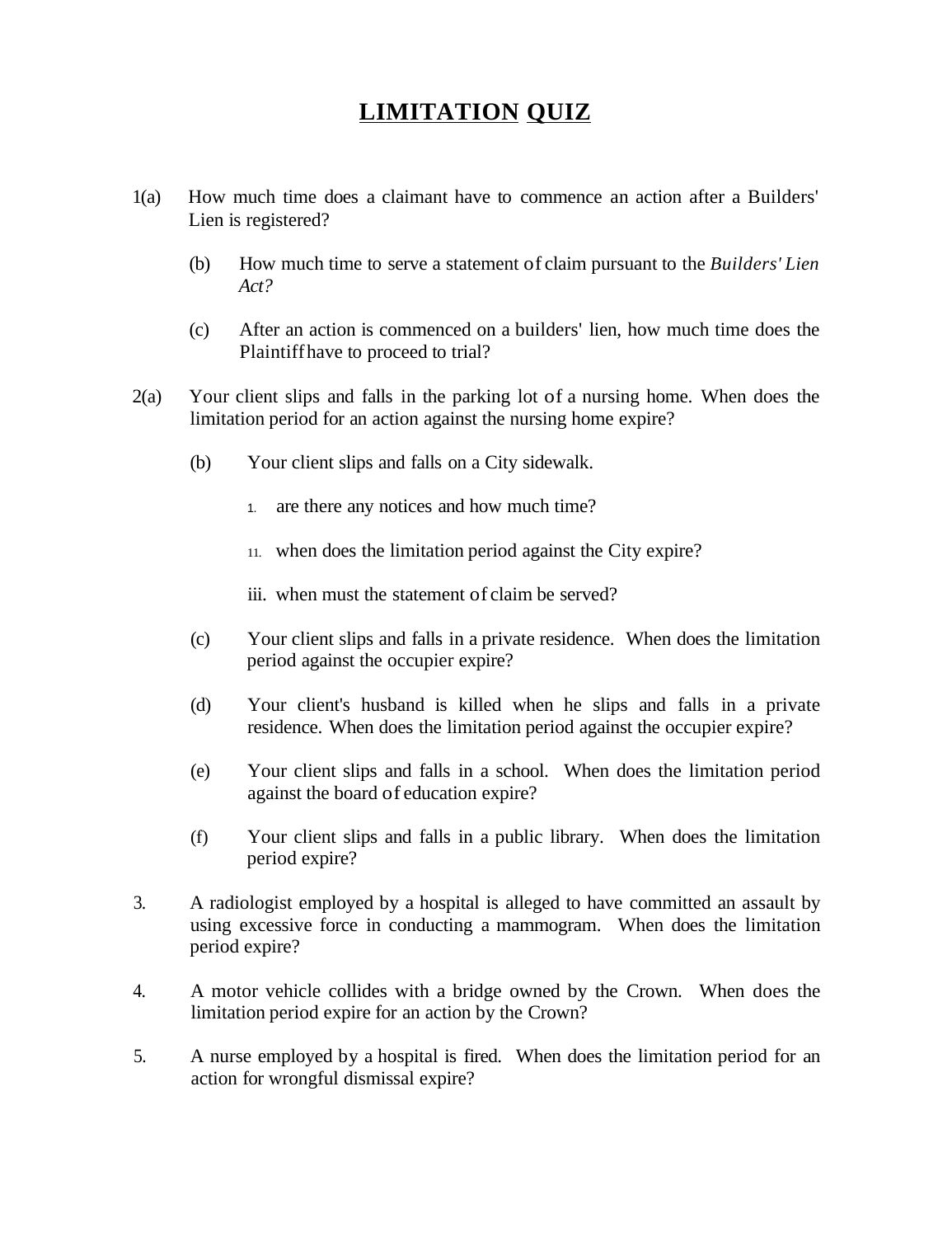## **LIMITATION QUIZ**

- 1(a) How much time does a claimant have to commence an action after a Builders' Lien is registered?
	- (b) How much time to serve a statement of claim pursuant to the *Builders' Lien Act?*
	- (c) After an action is commenced on a builders' lien, how much time does the Plaintiffhave to proceed to trial?
- 2(a) Your client slips and falls in the parking lot of a nursing home. When does the limitation period for an action against the nursing home expire?
	- (b) Your client slips and falls on a City sidewalk.
		- 1. are there any notices and how much time?
		- 11. when does the limitation period against the City expire?

iii. when must the statement of claim be served?

- (c) Your client slips and falls in a private residence. When does the limitation period against the occupier expire?
- (d) Your client's husband is killed when he slips and falls in a private residence. When does the limitation period against the occupier expire?
- (e) Your client slips and falls in a school. When does the limitation period against the board of education expire?
- (f) Your client slips and falls in a public library. When does the limitation period expire?
- 3. A radiologist employed by a hospital is alleged to have committed an assault by using excessive force in conducting a mammogram. When does the limitation period expire?
- 4. A motor vehicle collides with a bridge owned by the Crown. When does the limitation period expire for an action by the Crown?
- 5. A nurse employed by a hospital is fired. When does the limitation period for an action for wrongful dismissal expire?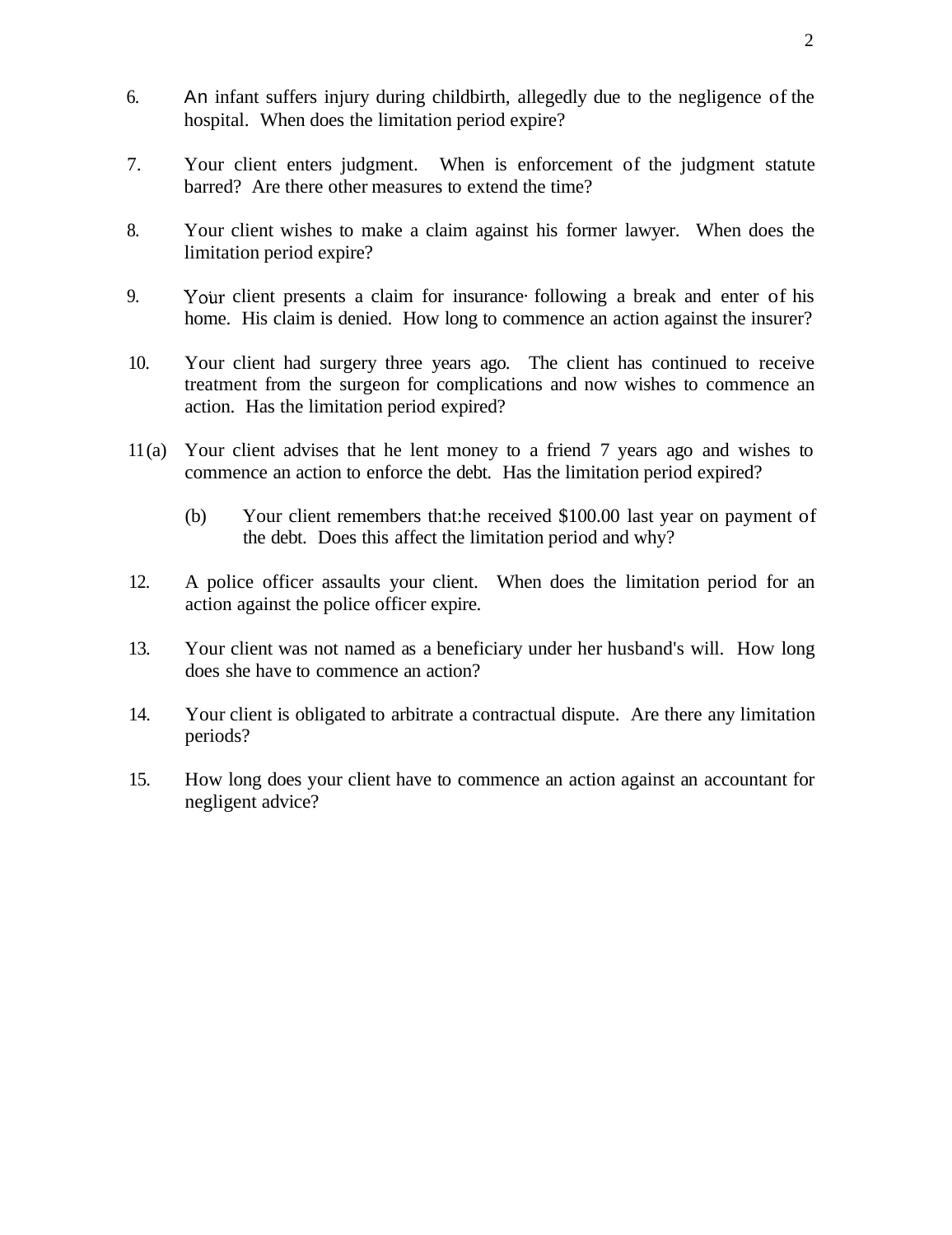- 6. An infant suffers injury during childbirth, allegedly due to the negligence of the hospital. When does the limitation period expire?
- 7. Your client enters judgment. When is enforcement of the judgment statute barred? Are there other measures to extend the time?
- 8. Your client wishes to make a claim against his former lawyer. When does the limitation period expire?
- 9. Your client presents a claim for insurance· following a break and enter of his home. His claim is denied. How long to commence an action against the insurer?
- 10. Your client had surgery three years ago. The client has continued to receive treatment from the surgeon for complications and now wishes to commence an action. Has the limitation period expired?
- 11(a) Your client advises that he lent money to a friend 7 years ago and wishes to commence an action to enforce the debt. Has the limitation period expired?
	- (b) Your client remembers that:he received \$100.00 last year on payment of the debt. Does this affect the limitation period and why?
- 12. A police officer assaults your client. When does the limitation period for an action against the police officer expire.
- 13. Your client was not named as a beneficiary under her husband's will. How long does she have to commence an action?
- 14. Your client is obligated to arbitrate a contractual dispute. Are there any limitation periods?
- 15. How long does your client have to commence an action against an accountant for negligent advice?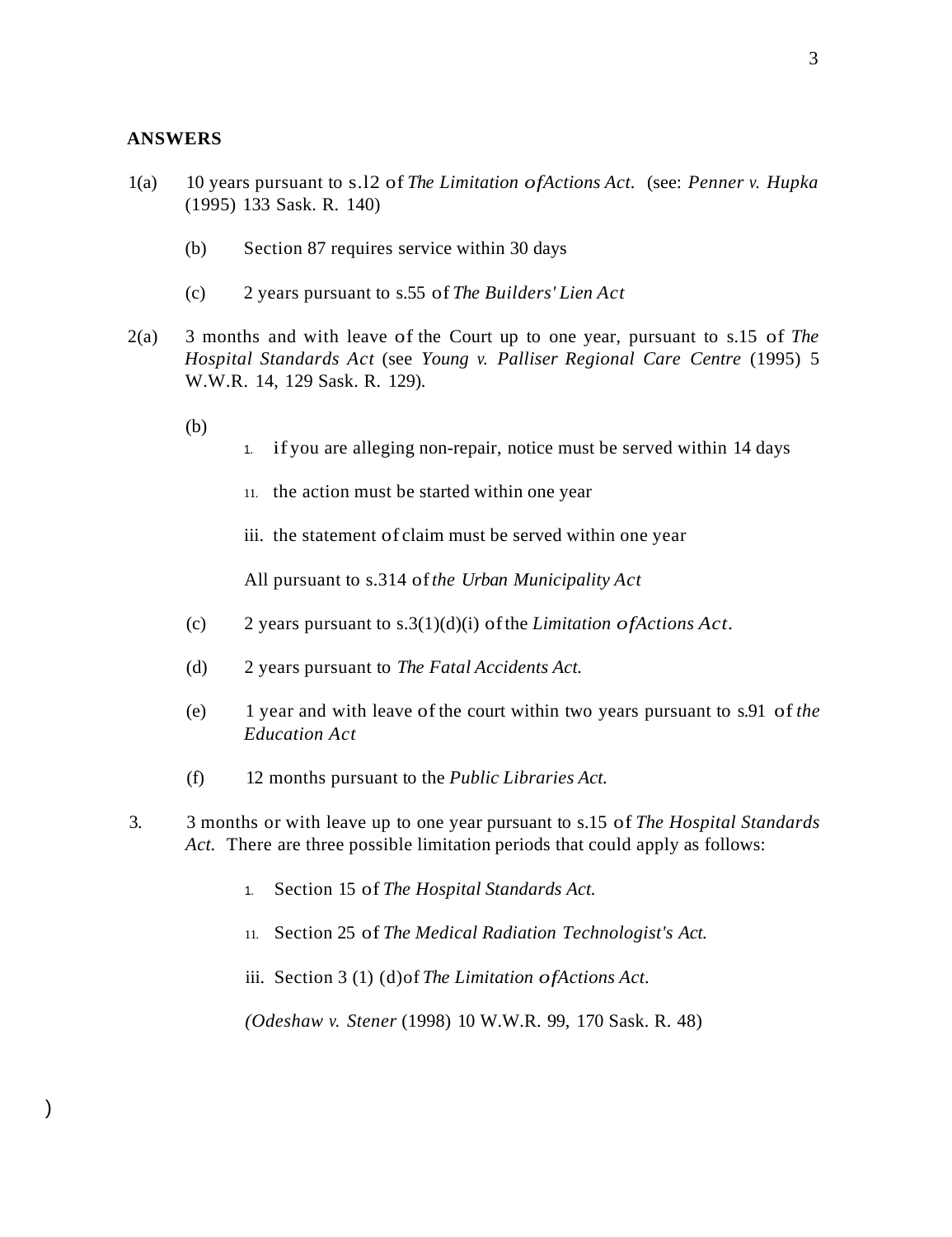#### **ANSWERS**

- 1(a) 10 years pursuant to s.l2 of *The Limitation ofActions Act.* (see: *Penner v. Hupka* (1995) 133 Sask. R. 140)
	- (b) Section 87 requires service within 30 days
	- (c) 2 years pursuant to s.55 of *The Builders' Lien Act*
- 2(a) 3 months and with leave of the Court up to one year, pursuant to s.15 of *The Hospital Standards Act* (see *Young v. Palliser Regional Care Centre* (1995) 5 W.W.R. 14, 129 Sask. R. 129).
	- (b)

)

- 1. if you are alleging non-repair, notice must be served within 14 days
- 11. the action must be started within one year
- iii. the statement of claim must be served within one year

All pursuant to s.314 of*the Urban Municipality Act*

- (c) 2 years pursuant to s.3(1)(d)(i) ofthe *Limitation ofActions Act.*
- (d) 2 years pursuant to *The Fatal Accidents Act.*
- (e) 1 year and with leave ofthe court within two years pursuant to s.91 of *the Education Act*
- (f) 12 months pursuant to the *Public Libraries Act.*
- 3. 3 months or with leave up to one year pursuant to s.15 of *The Hospital Standards Act.* There are three possible limitation periods that could apply as follows:
	- 1. Section 15 of *The Hospital Standards Act.*
	- 11. Section 25 of *The Medical Radiation Technologist's Act.*
	- iii. Section 3 (1) (d)of *The Limitation ofActions Act.*

*(Odeshaw v. Stener* (1998) 10 W.W.R. 99, 170 Sask. R. 48)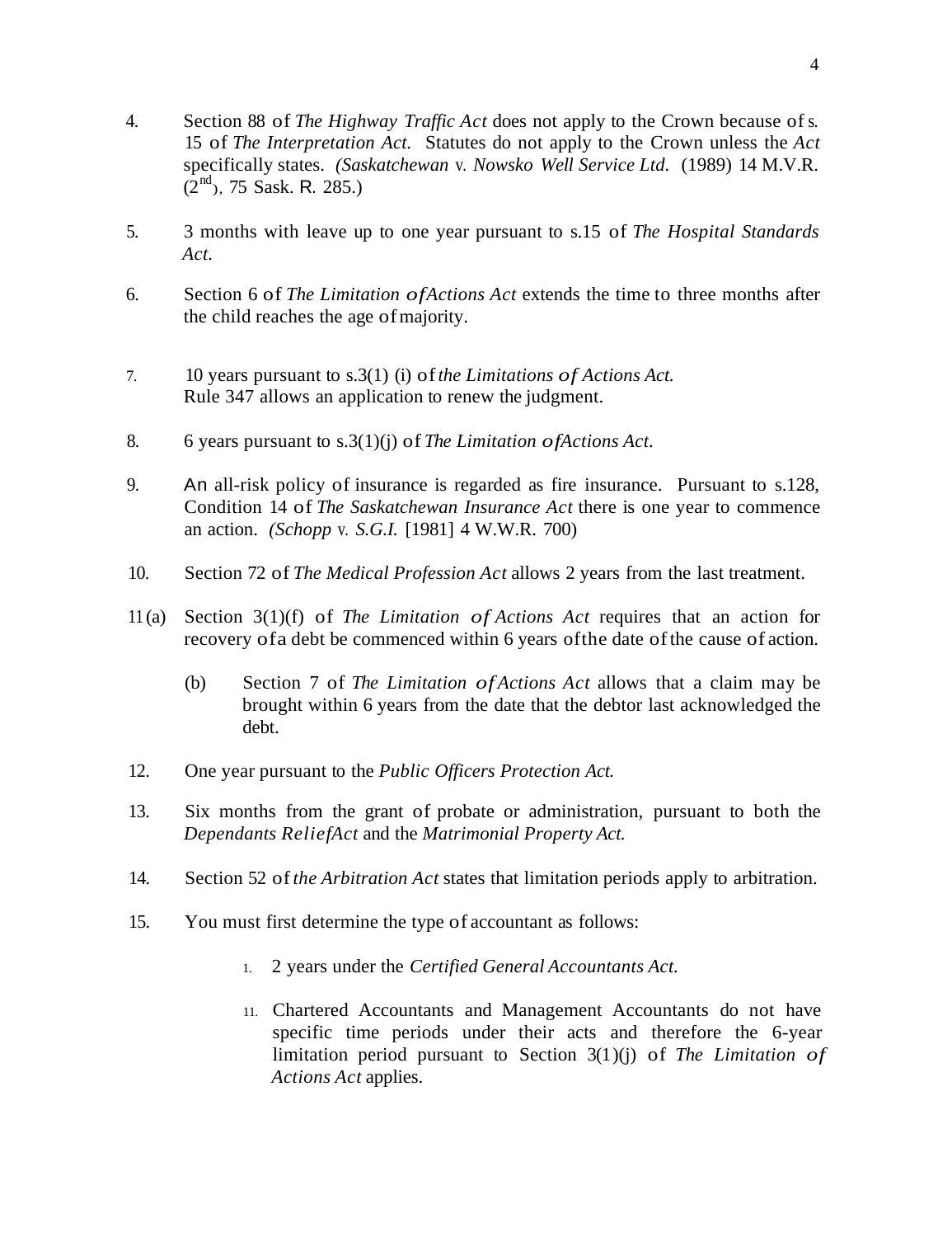- 4. Section 88 of *The Highway Traffic Act* does not apply to the Crown because of s. 15 of *The Interpretation Act.* Statutes do not apply to the Crown unless the *Act* specifically states. *(Saskatchewan* v. *Nowsko Well Service Ltd.* (1989) 14 M.V.R.  $(2<sup>nd</sup>)$ , 75 Sask. R. 285.)
- 5. 3 months with leave up to one year pursuant to s.15 of *The Hospital Standards Act.*
- 6. Section 6 of *The Limitation ofActions Act* extends the time to three months after the child reaches the age ofmajority.
- 7. 10 years pursuant to s.3(1) (i) of*the Limitations of Actions Act.* Rule 347 allows an application to renew the judgment.
- 8. 6 years pursuant to s.3(1)(j) of *The Limitation ofActions Act.*
- 9. An all-risk policy of insurance is regarded as fire insurance. Pursuant to s.128, Condition 14 of *The Saskatchewan Insurance Act* there is one year to commence an action. *(Schopp* v. *S.G.I.* [1981] 4 W.W.R. 700)
- 10. Section 72 of *The Medical Profession Act* allows 2 years from the last treatment.
- 11 (a) Section 3(1)(f) of *The Limitation of Actions Act* requires that an action for recovery of a debt be commenced within 6 years of the date of the cause of action.
	- (b) Section 7 of *The Limitation ofActions Act* allows that a claim may be brought within 6 years from the date that the debtor last acknowledged the debt.
- 12. One year pursuant to the *Public Officers Protection Act.*
- 13. Six months from the grant of probate or administration, pursuant to both the *Dependants ReliefAct* and the *Matrimonial Property Act.*
- 14. Section 52 of*the Arbitration Act* states that limitation periods apply to arbitration.
- 15. You must first determine the type of accountant as follows:
	- 1. 2 years under the *Certified General Accountants Act.*
	- 11. Chartered Accountants and Management Accountants do not have specific time periods under their acts and therefore the 6-year limitation period pursuant to Section 3(1)(j) of *The Limitation of Actions Act* applies.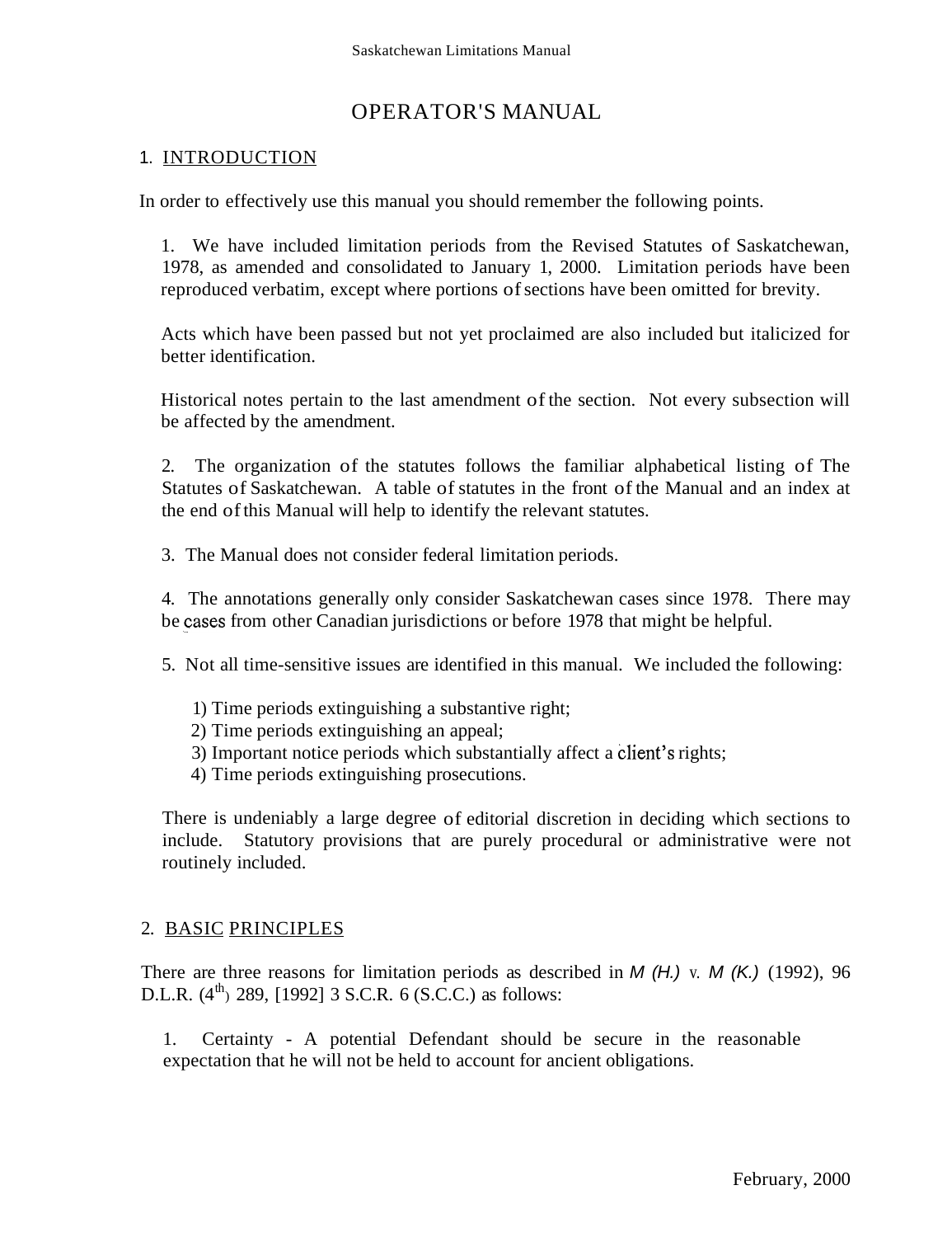## OPERATOR'S MANUAL

## 1. INTRODUCTION

In order to effectively use this manual you should remember the following points.

1. We have included limitation periods from the Revised Statutes of Saskatchewan, 1978, as amended and consolidated to January 1, 2000. Limitation periods have been reproduced verbatim, except where portions ofsections have been omitted for brevity.

Acts which have been passed but not yet proclaimed are also included but italicized for better identification.

Historical notes pertain to the last amendment of the section. Not every subsection will be affected by the amendment.

2. The organization of the statutes follows the familiar alphabetical listing of The Statutes of Saskatchewan. A table of statutes in the front of the Manual and an index at the end ofthis Manual will help to identify the relevant statutes.

3. The Manual does not consider federal limitation periods.

4. The annotations generally only consider Saskatchewan cases since 1978. There may be cases from other Canadian jurisdictions or before 1978 that might be helpful.

5. Not all time-sensitive issues are identified in this manual. We included the following:

- 1) Time periods extinguishing a substantive right;
- 2) Time periods extinguishing an appeal;
- 3) Important notice periods which substantially affect a Client's rights;
- 4) Time periods extinguishing prosecutions.

There is undeniably a large degree of editorial discretion in deciding which sections to include. Statutory provisions that are purely procedural or administrative were not routinely included.

## 2. BASIC PRINCIPLES

There are three reasons for limitation periods as described in  $M(H)$  v.  $M(K)$  (1992), 96 D.L.R.  $(4^{th})$  289, [1992] 3 S.C.R. 6 (S.C.C.) as follows:

1. Certainty - A potential Defendant should be secure in the reasonable expectation that he will not be held to account for ancient obligations.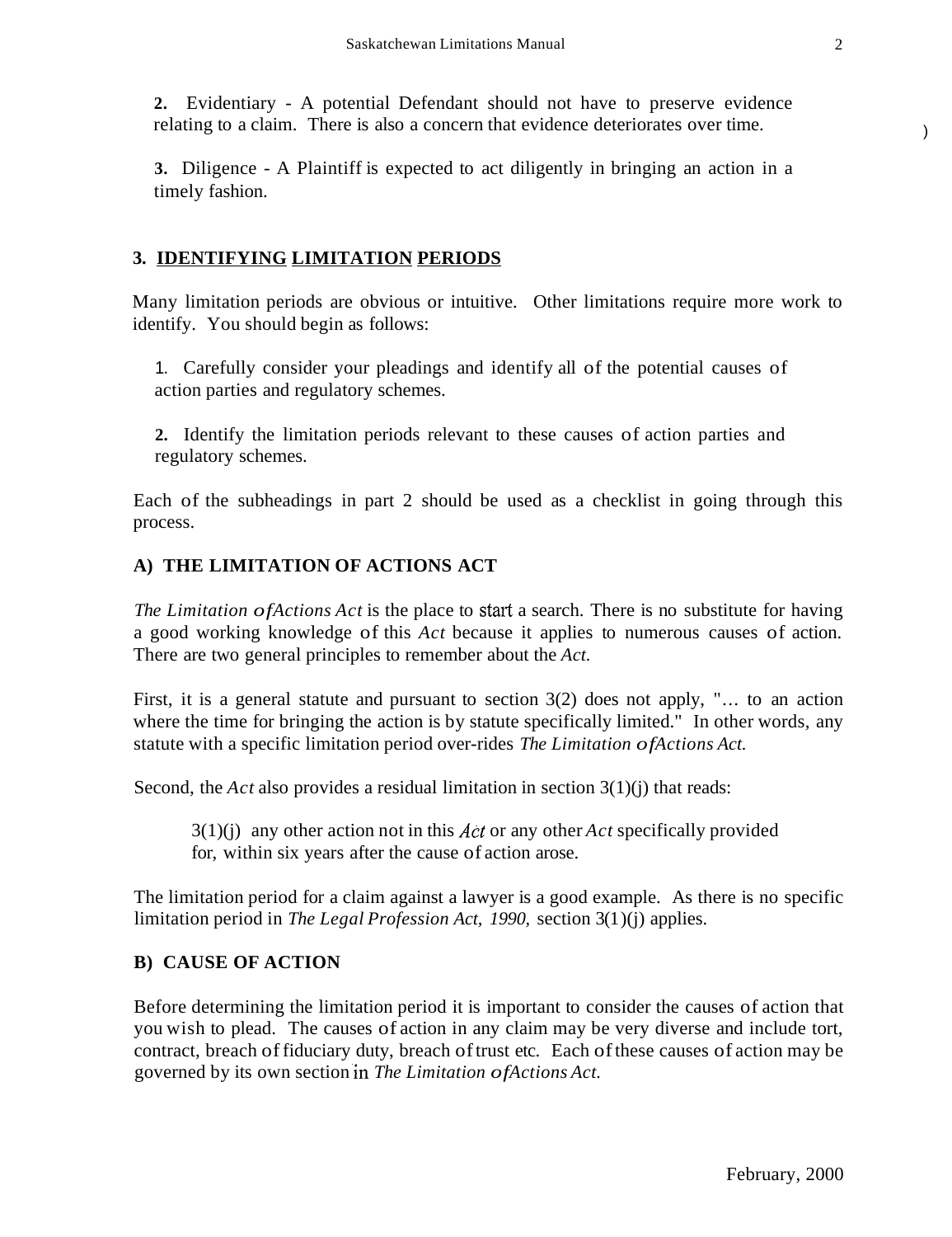**2.** Evidentiary - A potential Defendant should not have to preserve evidence relating to a claim. There is also a concern that evidence deteriorates over time.

**3.** Diligence - A Plaintiff is expected to act diligently in bringing an action in a timely fashion.

## **3. IDENTIFYING LIMITATION PERIODS**

Many limitation periods are obvious or intuitive. Other limitations require more work to identify. You should begin as follows:

1. Carefully consider your pleadings and identify all of the potential causes of action parties and regulatory schemes.

**2.** Identify the limitation periods relevant to these causes of action parties and regulatory schemes.

Each of the subheadings in part 2 should be used as a checklist in going through this process.

## **A) THE LIMITATION OF ACTIONS ACT**

*The Limitation of Actions Act* is the place to start a search. There is no substitute for having a good working knowledge of this *Act* because it applies to numerous causes of action. There are two general principles to remember about the *Act.*

First, it is a general statute and pursuant to section 3(2) does not apply, "... to an action where the time for bringing the action is by statute specifically limited." In other words, any statute with a specific limitation period over-rides *The Limitation ofActions Act.*

Second, the *Act* also provides a residual limitation in section 3(1)(j) that reads:

3(1)(j) any other action not in this *Act* or any other *Act* specifically provided for, within six years after the cause of action arose.

The limitation period for a claim against a lawyer is a good example. As there is no specific limitation period in *The Legal Profession Act, 1990,* section 3(1)(j) applies.

## **B) CAUSE OF ACTION**

Before determining the limitation period it is important to consider the causes of action that you wish to plead. The causes of action in any claim may be very diverse and include tort, contract, breach of fiduciary duty, breach of trust etc. Each of these causes of action may be governed by its own section in *The Limitation ofActions Act.*

)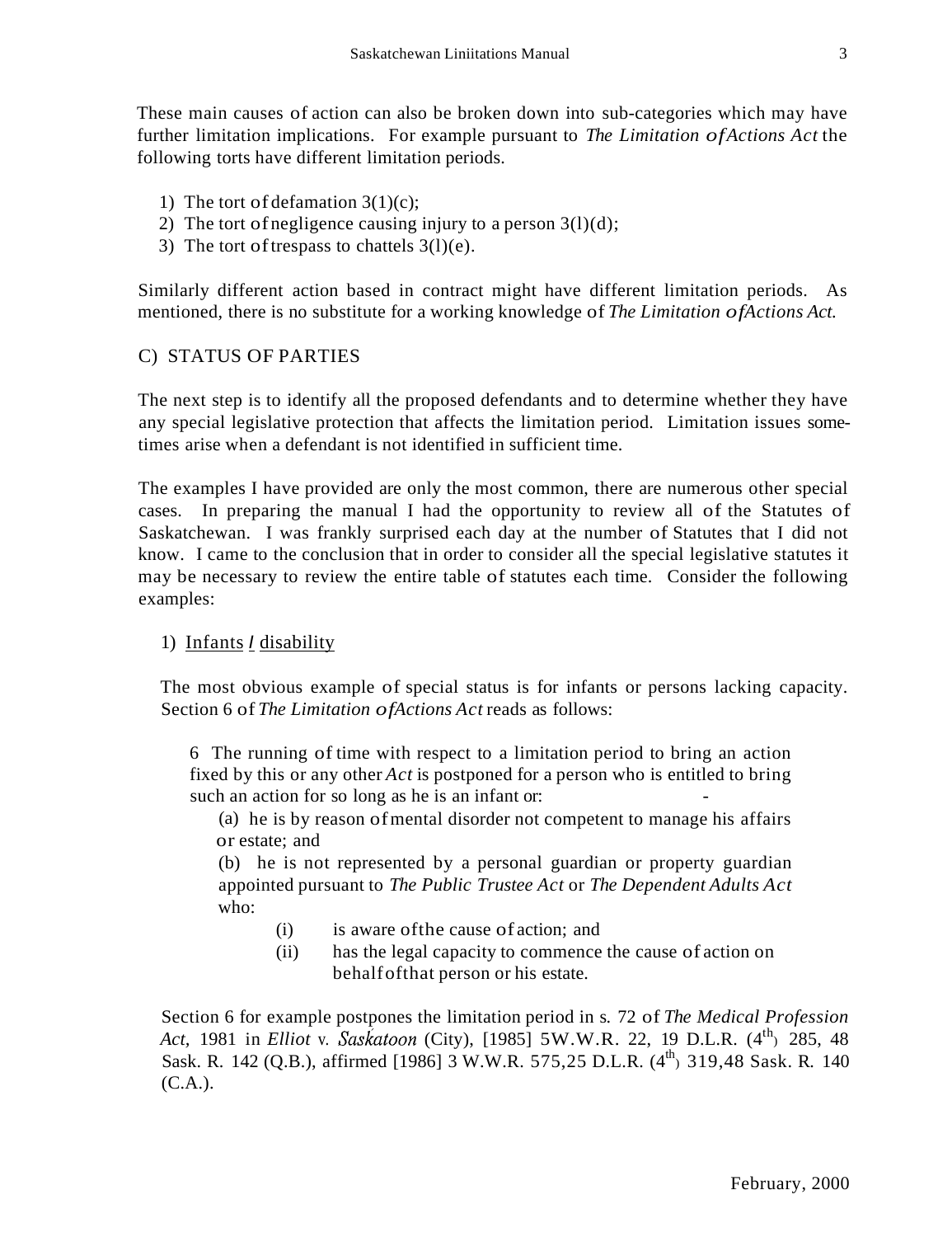These main causes of action can also be broken down into sub-categories which may have further limitation implications. For example pursuant to *The Limitation ofActions Act* the following torts have different limitation periods.

- 1) The tort of defamation 3(1)(c);
- 2) The tort of negligence causing injury to a person  $3(1)(d)$ ;
- 3) The tort of trespass to chattels  $3(l)(e)$ .

Similarly different action based in contract might have different limitation periods. As mentioned, there is no substitute for a working knowledge of *The Limitation ofActions Act.*

## C) STATUS OF PARTIES

The next step is to identify all the proposed defendants and to determine whether they have any special legislative protection that affects the limitation period. Limitation issues sometimes arise when a defendant is not identified in sufficient time.

The examples I have provided are only the most common, there are numerous other special cases. In preparing the manual I had the opportunity to review all of the Statutes of Saskatchewan. I was frankly surprised each day at the number of Statutes that I did not know. I came to the conclusion that in order to consider all the special legislative statutes it may be necessary to review the entire table of statutes each time. Consider the following examples:

## 1) Infants  $\int$  disability

The most obvious example of special status is for infants or persons lacking capacity. Section 6 of *The Limitation ofActions Act* reads as follows:

6 The running of time with respect to a limitation period to bring an action fixed by this or any other *Act* is postponed for a person who is entitled to bring such an action for so long as he is an infant or:

(a) he is by reason ofmental disorder not competent to manage his affairs or estate; and

(b) he is not represented by a personal guardian or property guardian appointed pursuant to *The Public Trustee Act* or *The Dependent Adults Act* who:

- (i) is aware ofthe cause of action; and
- (ii) has the legal capacity to commence the cause of action on behalfofthat person or his estate.

Section 6 for example postpones the limitation period in s. 72 of *The Medical Profession Act,* 1981 in *Elliot* v. *Saskatoon* (City), [1985] 5W.W.R. 22, 19 D.L.R. (4<sup>th</sup>) 285, 48 Sask. R. 142 (Q.B.), affirmed [1986] 3 W.W.R. 575,25 D.L.R.  $(4^{th})$  319,48 Sask. R. 140  $(C.A.).$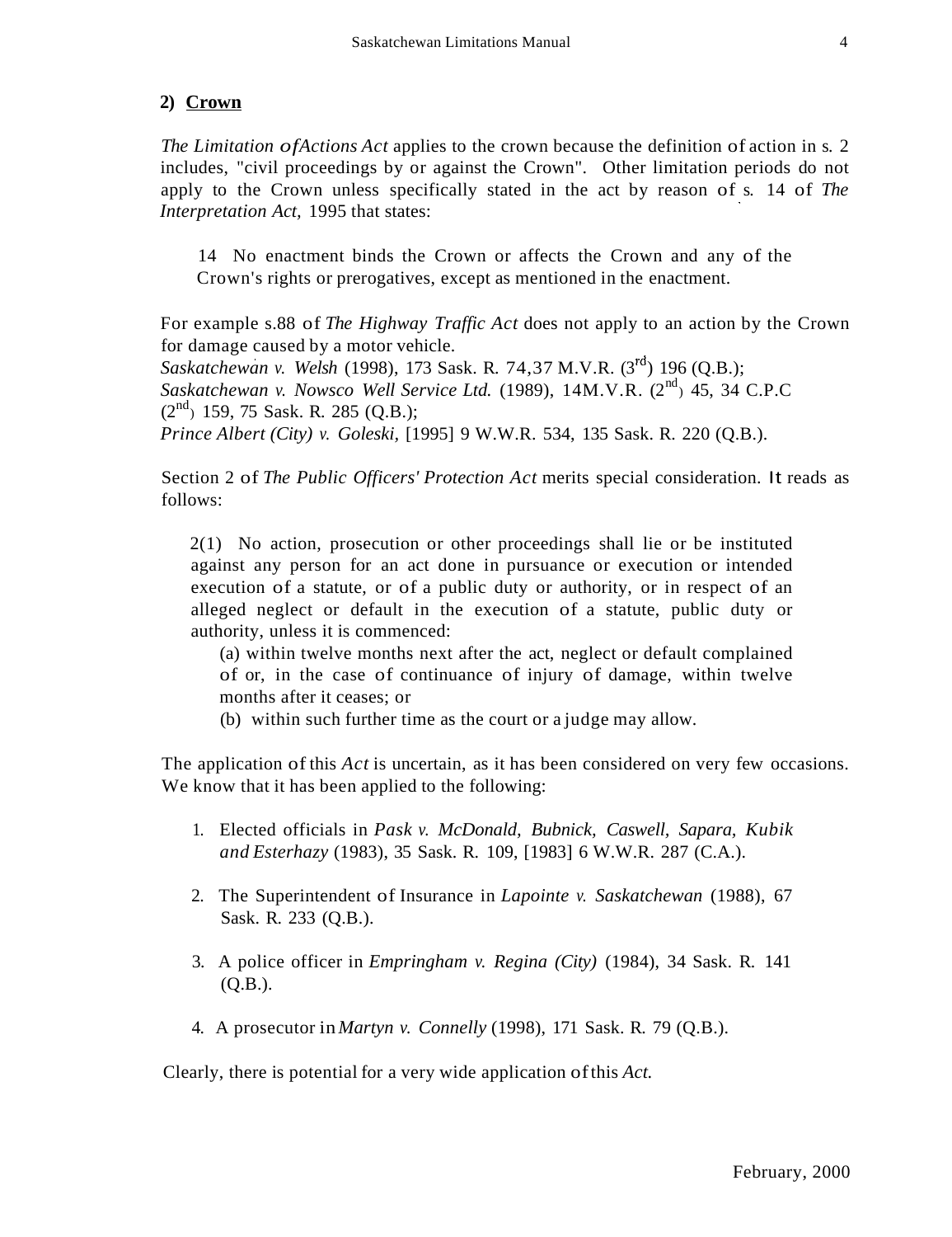## **2) Crown**

*The Limitation ofActions Act* applies to the crown because the definition of action in s. 2 includes, "civil proceedings by or against the Crown". Other limitation periods do not apply to the Crown unless specifically stated in the act by reason of s. 14 of *The Interpretation Act,* 1995 that states: .

14 No enactment binds the Crown or affects the Crown and any of the Crown's rights or prerogatives, except as mentioned in the enactment.

For example s.88 of *The Highway Traffic Act* does not apply to an action by the Crown for damage caused by a motor vehicle.<br>Saskatchewan *v. Welsh* (1998), 173 Sask. R. 74,37 M.V.R. (3<sup>rd</sup>) 196 (O.B.);

*Saskatchewan v. Nowsco Well Service Ltd.* (1989), 14M.V.R. (2nd ) 45, 34 C.P.C  $(2<sup>nd</sup>)$  159, 75 Sask. R. 285 (Q.B.); *Prince Albert (City) v. Goleski,* [1995] 9 W.W.R. 534, 135 Sask. R. 220 (Q.B.).

Section 2 of *The Public Officers' Protection Act* merits special consideration. It reads as follows:

2(1) No action, prosecution or other proceedings shall lie or be instituted against any person for an act done in pursuance or execution or intended execution of a statute, or of a public duty or authority, or in respect of an alleged neglect or default in the execution of a statute, public duty or authority, unless it is commenced:

(a) within twelve months next after the act, neglect or default complained of or, in the case of continuance of injury of damage, within twelve months after it ceases; or

(b) within such further time as the court or a judge may allow.

The application of this *Act* is uncertain, as it has been considered on very few occasions. We know that it has been applied to the following:

- 1. Elected officials in *Pask v. McDonald, Bubnick, Caswell, Sapara, Kubik and Esterhazy* (1983), 35 Sask. R. 109, [1983] 6 W.W.R. 287 (C.A.).
- 2. The Superintendent of Insurance in *Lapointe v. Saskatchewan* (1988), 67 Sask. R. 233 (Q.B.).
- 3. A police officer in *Empringham v. Regina (City)* (1984), 34 Sask. R. 141  $(O.B.).$
- 4. A prosecutor in*Martyn v. Connelly* (1998), 171 Sask. R. 79 (Q.B.).

Clearly, there is potential for a very wide application ofthis *Act.*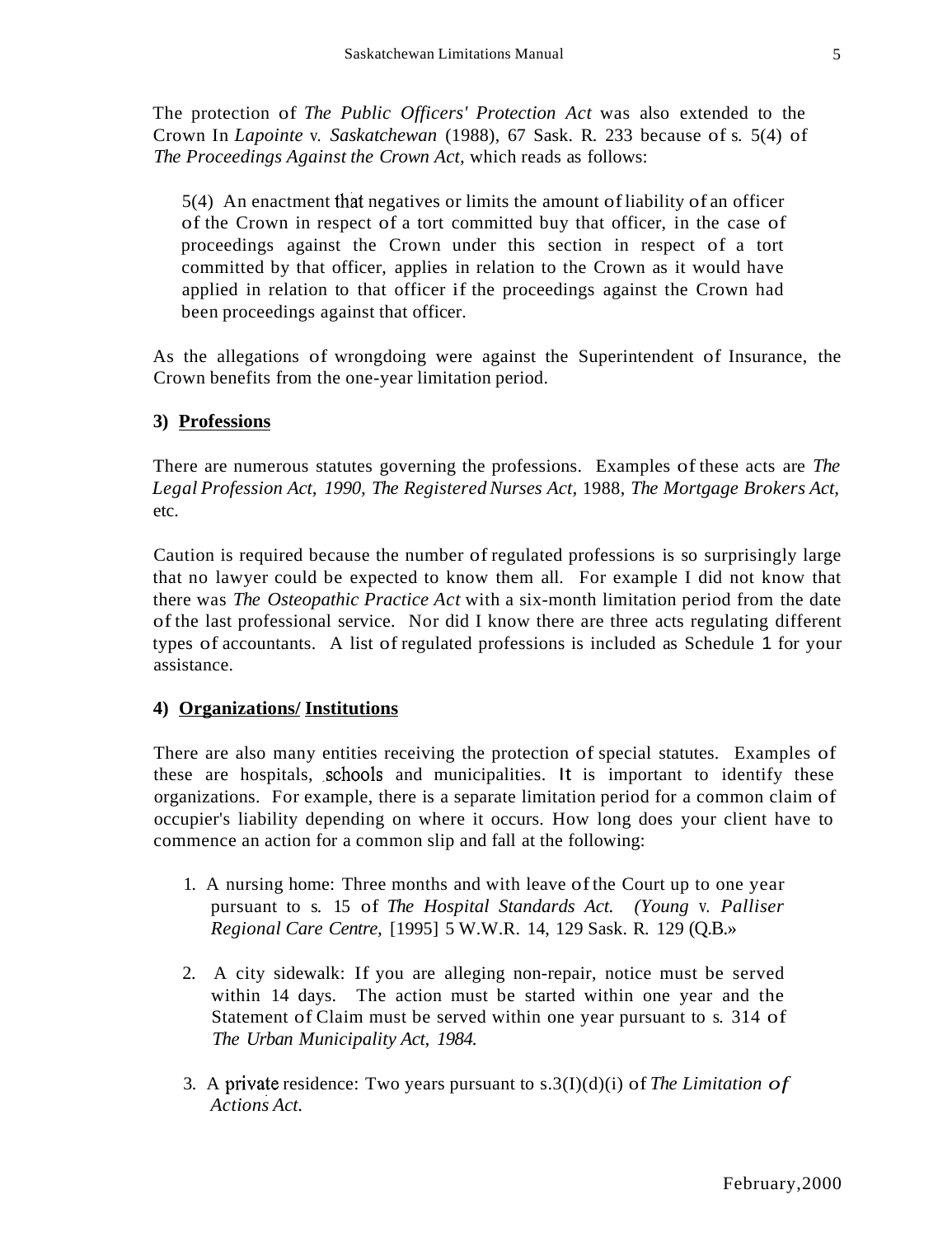The protection of *The Public Officers' Protection Act* was also extended to the Crown In *Lapointe* v. *Saskatchewan* (1988), 67 Sask. R. 233 because of s. 5(4) of *The Proceedings Against the Crown Act,* which reads as follows:

5(4) An enactment that negatives or limits the amount ofliability of an officer of the Crown in respect of a tort committed buy that officer, in the case of proceedings against the Crown under this section in respect of a tort committed by that officer, applies in relation to the Crown as it would have applied in relation to that officer if the proceedings against the Crown had been proceedings against that officer.

As the allegations of wrongdoing were against the Superintendent of Insurance, the Crown benefits from the one-year limitation period.

## **3) Professions**

There are numerous statutes governing the professions. Examples of these acts are *The Legal Profession Act, 1990, The Registered Nurses Act,* 1988, *The Mortgage Brokers Act,* etc.

Caution is required because the number of regulated professions is so surprisingly large that no lawyer could be expected to know them all. For example I did not know that there was *The Osteopathic Practice Act* with a six-month limitation period from the date of the last professional service. Nor did I know there are three acts regulating different types of accountants. A list of regulated professions is included as Schedule 1 for your assistance.

## **4) Organizations/ Institutions**

There are also many entities receiving the protection of special statutes. Examples of these are hospitals, schools and municipalities. It is important to identify these organizations. For example, there is a separate limitation period for a common claim of occupier's liability depending on where it occurs. How long does your client have to commence an action for a common slip and fall at the following:

- 1. A nursing home: Three months and with leave ofthe Court up to one year pursuant to s. 15 of *The Hospital Standards Act. (Young* v. *Palliser Regional Care Centre,* [1995] 5 W.W.R. 14, 129 Sask. R. 129 (Q.B.»
- 2. A city sidewalk: If you are alleging non-repair, notice must be served within 14 days. The action must be started within one year and the Statement of Claim must be served within one year pursuant to s. 314 of *The Urban Municipality Act, 1984.*
- 3. A private residence: Two years pursuant to  $s.3(I)(d)(i)$  of *The Limitation of Actions Act.*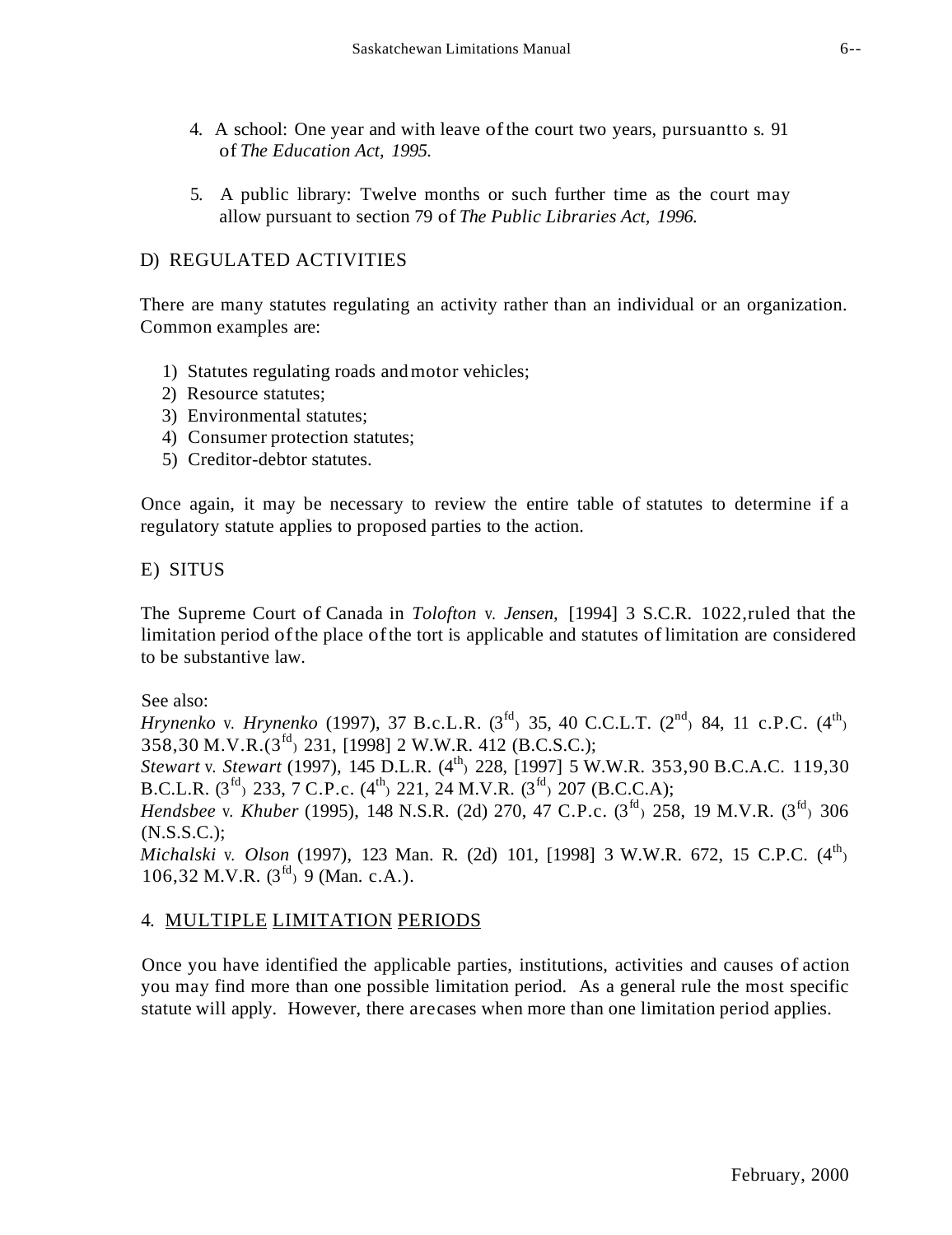- 4. A school: One year and with leave ofthe court two years, pursuantto s. 91 of *The Education Act, 1995.*
- 5. A public library: Twelve months or such further time as the court may allow pursuant to section 79 of *The Public Libraries Act, 1996.*

## D) REGULATED ACTIVITIES

There are many statutes regulating an activity rather than an individual or an organization. Common examples are:

- 1) Statutes regulating roads andmotor vehicles;
- 2) Resource statutes;
- 3) Environmental statutes;
- 4) Consumer protection statutes;
- 5) Creditor-debtor statutes.

Once again, it may be necessary to review the entire table of statutes to determine if a regulatory statute applies to proposed parties to the action.

## E) SITUS

The Supreme Court of Canada in *Tolofton* v. *Jensen,* [1994] 3 S.C.R. 1022,ruled that the limitation period ofthe place ofthe tort is applicable and statutes of limitation are considered to be substantive law.

See also:

*Hrynenko* v. *Hrynenko* (1997), 37 B.c.L.R. (3<sup>fd</sup>) 35, 40 C.C.L.T. (2<sup>nd</sup>) 84, 11 c.P.C. (4<sup>th</sup>) 358,30 M.V.R.(3<sup>fd</sup>) 231, [1998] 2 W.W.R. 412 (B.C.S.C.);

*Stewart v. Stewart* (1997), 145 D.L.R. (4<sup>th</sup>) 228, [1997] 5 W.W.R. 353,90 B.C.A.C. 119,30 B.C.L.R. (3<sup>fd</sup>) 233, 7 C.P.c. (4<sup>th</sup>) 221, 24 M.V.R. (3<sup>fd</sup>) 207 (B.C.C.A);

*Hendsbee v. Khuber* (1995), 148 N.S.R. (2d) 270, 47 C.P.c. (3<sup>fd</sup>) 258, 19 M.V.R. (3<sup>fd</sup>) 306 (N.S.S.C.);

*Michalski* v. *Olson* (1997), 123 Man. R. (2d) 101, [1998] 3 W.W.R. 672, 15 C.P.C. (4<sup>th</sup>) 106,32 M.V.R. (3<sup>fd</sup>) 9 (Man. c.A.).

## 4. MULTIPLE LIMITATION PERIODS

Once you have identified the applicable parties, institutions, activities and causes of action you may find more than one possible limitation period. As a general rule the most specific statute will apply. However, there arecases when more than one limitation period applies.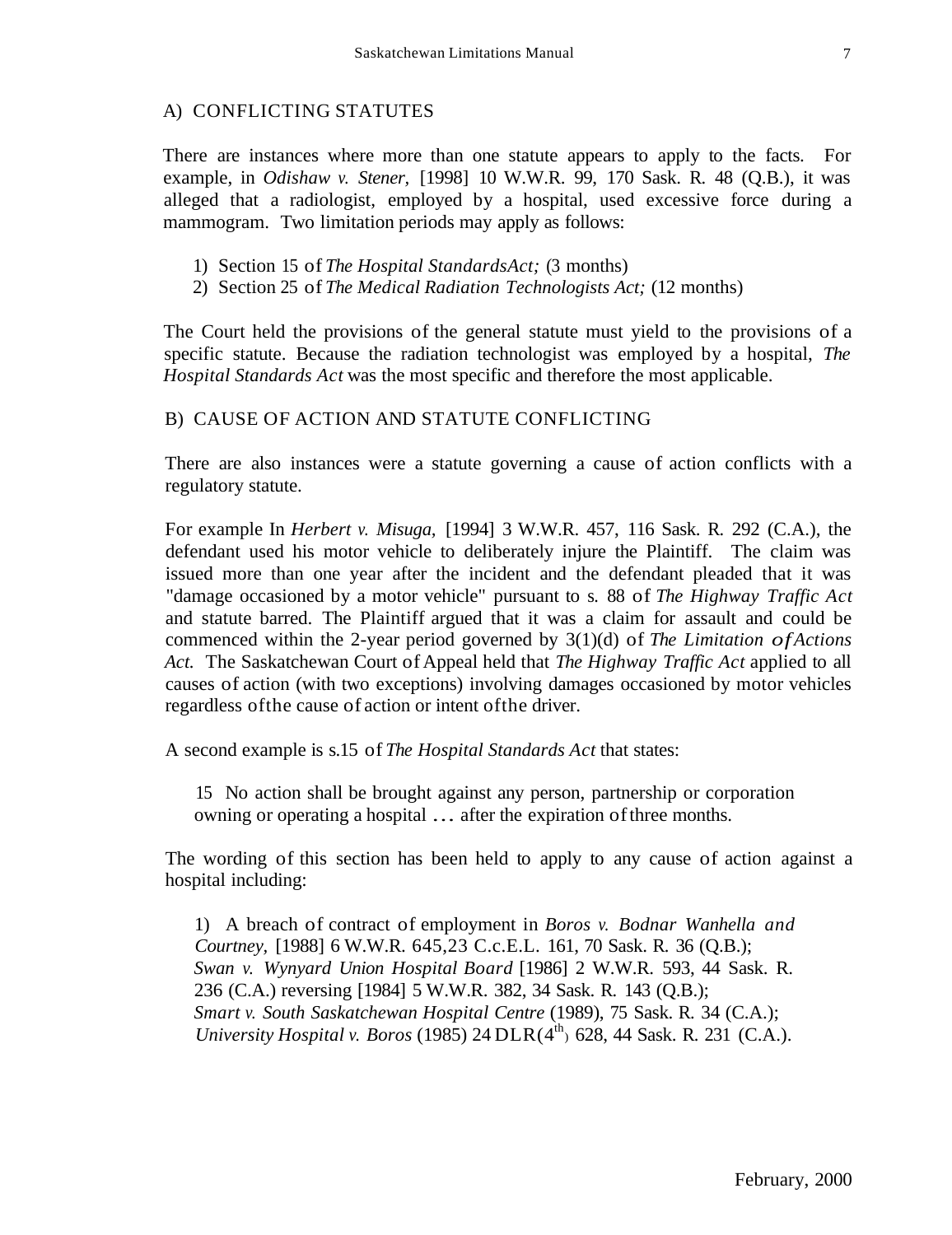## A) CONFLICTING STATUTES

There are instances where more than one statute appears to apply to the facts. For example, in *Odishaw v. Stener,* [1998] 10 W.W.R. 99, 170 Sask. R. 48 (Q.B.), it was alleged that a radiologist, employed by a hospital, used excessive force during a mammogram. Two limitation periods may apply as follows:

- 1) Section 15 of *The Hospital StandardsAct;* (3 months)
- 2) Section 25 of *The Medical Radiation Technologists Act;* (12 months)

The Court held the provisions of the general statute must yield to the provisions of a specific statute. Because the radiation technologist was employed by a hospital, *The Hospital Standards Act* was the most specific and therefore the most applicable.

## B) CAUSE OF ACTION AND STATUTE CONFLICTING

There are also instances were a statute governing a cause of action conflicts with a regulatory statute.

For example In *Herbert v. Misuga,* [1994] 3 W.W.R. 457, 116 Sask. R. 292 (C.A.), the defendant used his motor vehicle to deliberately injure the Plaintiff. The claim was issued more than one year after the incident and the defendant pleaded that it was "damage occasioned by a motor vehicle" pursuant to s. 88 of *The Highway Traffic Act* and statute barred. The Plaintiff argued that it was a claim for assault and could be commenced within the 2-year period governed by 3(1)(d) of *The Limitation ofActions* Act. The Saskatchewan Court of Appeal held that *The Highway Traffic Act* applied to all causes of action (with two exceptions) involving damages occasioned by motor vehicles regardless ofthe cause of action or intent ofthe driver.

A second example is s.15 of *The Hospital Standards Act* that states:

15 No action shall be brought against any person, partnership or corporation owning or operating a hospital ... after the expiration ofthree months.

The wording of this section has been held to apply to any cause of action against a hospital including:

1) A breach of contract of employment in *Boros v. Bodnar Wanhella and Courtney,* [1988] 6 W.W.R. 645,23 C.c.E.L. 161, 70 Sask. R. 36 (Q.B.); *Swan v. Wynyard Union Hospital Board* [1986] 2 W.W.R. 593, 44 Sask. R. 236 (C.A.) reversing [1984] 5 W.W.R. 382, 34 Sask. R. 143 (Q.B.); *Smart v. South Saskatchewan Hospital Centre* (1989), 75 Sask. R. 34 (C.A.); *University Hospital v. Boros* (1985) 24  $DLR(4<sup>th</sup>)$  628, 44 Sask. R. 231 (C.A.).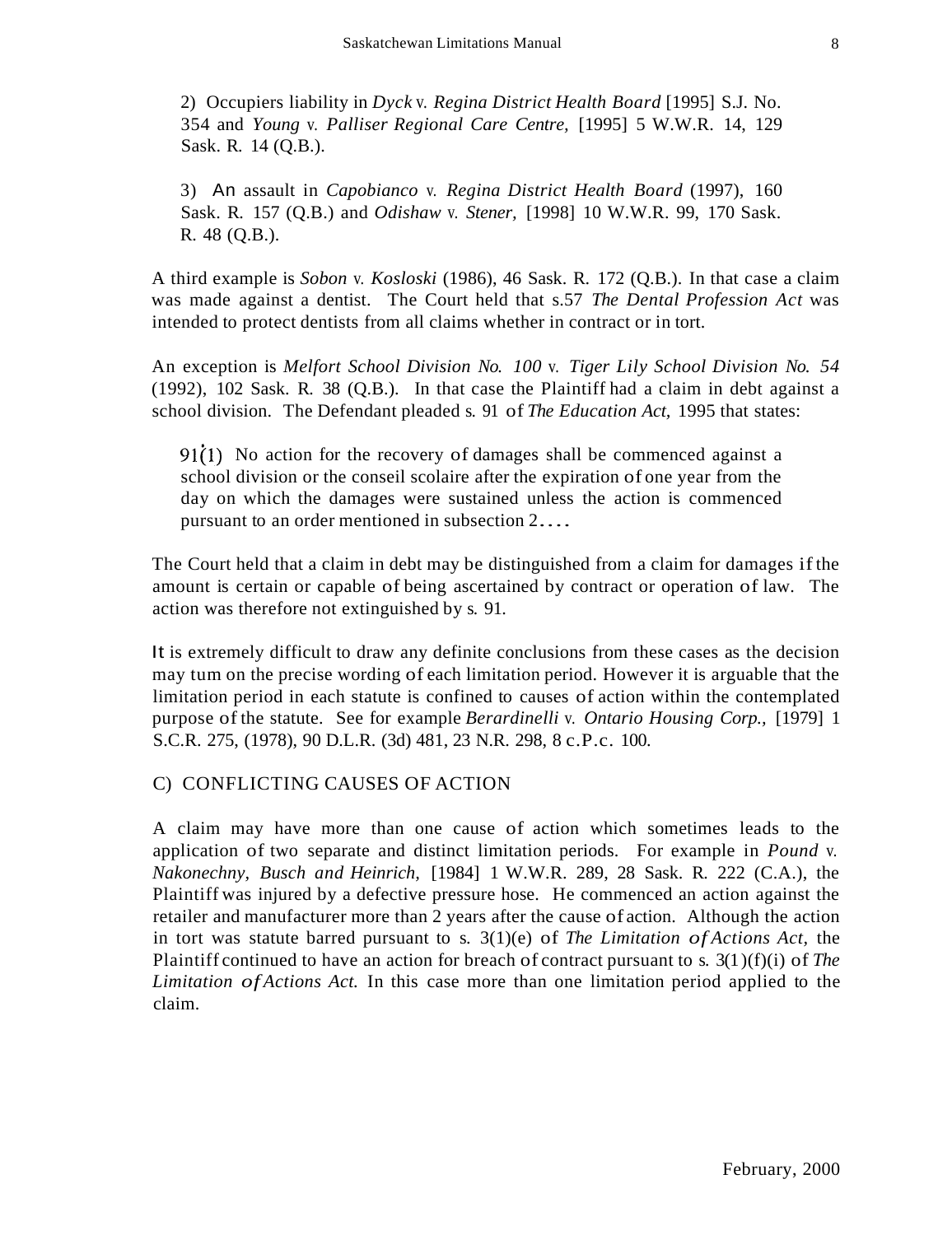2) Occupiers liability in *Dyck* v. *Regina District Health Board* [1995] S.J. No. 354 and *Young* v. *Palliser Regional Care Centre,* [1995] 5 W.W.R. 14, 129 Sask. R. 14 (Q.B.).

3) An assault in *Capobianco* v. *Regina District Health Board* (1997), 160 Sask. R. 157 (Q.B.) and *Odishaw* v. *Stener,* [1998] 10 W.W.R. 99, 170 Sask. R. 48 (Q.B.).

A third example is *Sobon* v. *Kosloski* (1986), 46 Sask. R. 172 (Q.B.). In that case a claim was made against a dentist. The Court held that s.57 *The Dental Profession Act* was intended to protect dentists from all claims whether in contract or in tort.

An exception is *Melfort School Division No. 100* v. *Tiger Lily School Division No. 54* (1992), 102 Sask. R. 38 (Q.B.). In that case the Plaintiff had a claim in debt against a school division. The Defendant pleaded s. 91 of *The Education Act,* 1995 that states:

 $91(1)$  No action for the recovery of damages shall be commenced against a school division or the conseil scolaire after the expiration of one year from the day on which the damages were sustained unless the action is commenced pursuant to an order mentioned in subsection 2....

The Court held that a claim in debt may be distinguished from a claim for damages ifthe amount is certain or capable of being ascertained by contract or operation of law. The action was therefore not extinguished by s. 91.

It is extremely difficult to draw any definite conclusions from these cases as the decision may tum on the precise wording of each limitation period. However it is arguable that the limitation period in each statute is confined to causes of action within the contemplated purpose of the statute. See for example *Berardinelli* v. *Ontario Housing Corp.,* [1979] 1 S.C.R. 275, (1978), 90 D.L.R. (3d) 481, 23 N.R. 298, 8 c.P.c. 100.

## C) CONFLICTING CAUSES OF ACTION

A claim may have more than one cause of action which sometimes leads to the application of two separate and distinct limitation periods. For example in *Pound* v. *Nakonechny, Busch and Heinrich,* [1984] 1 W.W.R. 289, 28 Sask. R. 222 (C.A.), the Plaintiff was injured by a defective pressure hose. He commenced an action against the retailer and manufacturer more than 2 years after the cause of action. Although the action in tort was statute barred pursuant to s. 3(1)(e) of *The Limitation of Actions Act,* the Plaintiff continued to have an action for breach of contract pursuant to s. 3(1)(f)(i) of *The Limitation of Actions Act.* In this case more than one limitation period applied to the claim.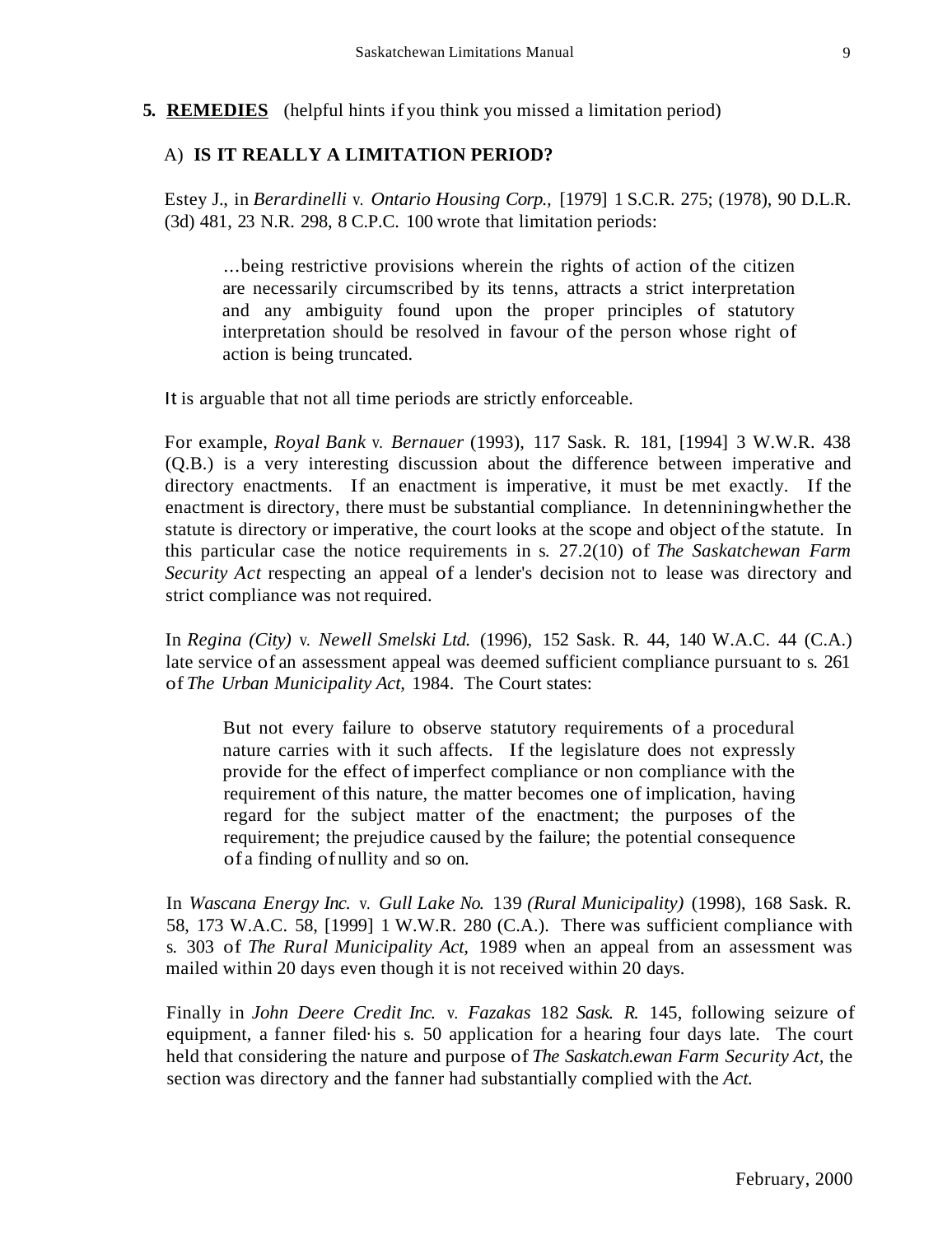#### **5. REMEDIES** (helpful hints if you think you missed a limitation period)

#### A) **IS IT REALLY A LIMITATION PERIOD?**

Estey J., in *Berardinelli* v. *Ontario Housing Corp.,* [1979] 1 S.C.R. 275; (1978), 90 D.L.R. (3d) 481, 23 N.R. 298, 8 C.P.C. 100 wrote that limitation periods:

...being restrictive provisions wherein the rights of action of the citizen are necessarily circumscribed by its tenns, attracts a strict interpretation and any ambiguity found upon the proper principles of statutory interpretation should be resolved in favour of the person whose right of action is being truncated.

It is arguable that not all time periods are strictly enforceable.

For example, *Royal Bank* v. *Bernauer* (1993), 117 Sask. R. 181, [1994] 3 W.W.R. 438 (Q.B.) is a very interesting discussion about the difference between imperative and directory enactments. If an enactment is imperative, it must be met exactly. If the enactment is directory, there must be substantial compliance. In detenniningwhether the statute is directory or imperative, the court looks at the scope and object ofthe statute. In this particular case the notice requirements in s. 27.2(10) of *The Saskatchewan Farm Security Act* respecting an appeal of a lender's decision not to lease was directory and strict compliance was not required.

In *Regina (City)* v. *Newell Smelski Ltd.* (1996), 152 Sask. R. 44, 140 W.A.C. 44 (C.A.) late service of an assessment appeal was deemed sufficient compliance pursuant to s. 261 of *The Urban Municipality Act,* 1984. The Court states:

But not every failure to observe statutory requirements of a procedural nature carries with it such affects. If the legislature does not expressly provide for the effect of imperfect compliance or non compliance with the requirement of this nature, the matter becomes one of implication, having regard for the subject matter of the enactment; the purposes of the requirement; the prejudice caused by the failure; the potential consequence of a finding ofnullity and so on.

In *Wascana Energy Inc.* v. *Gull Lake No.* 139 *(Rural Municipality)* (1998), 168 Sask. R. 58, 173 W.A.C. 58, [1999] 1 W.W.R. 280 (C.A.). There was sufficient compliance with s. 303 of *The Rural Municipality Act,* 1989 when an appeal from an assessment was mailed within 20 days even though it is not received within 20 days.

Finally in *John Deere Credit Inc.* v. *Fazakas* 182 *Sask. R.* 145, following seizure of equipment, a fanner filed· his s. 50 application for a hearing four days late. The court held that considering the nature and purpose of *The Saskatch.ewan Farm Security Act,* the section was directory and the fanner had substantially complied with the *Act.*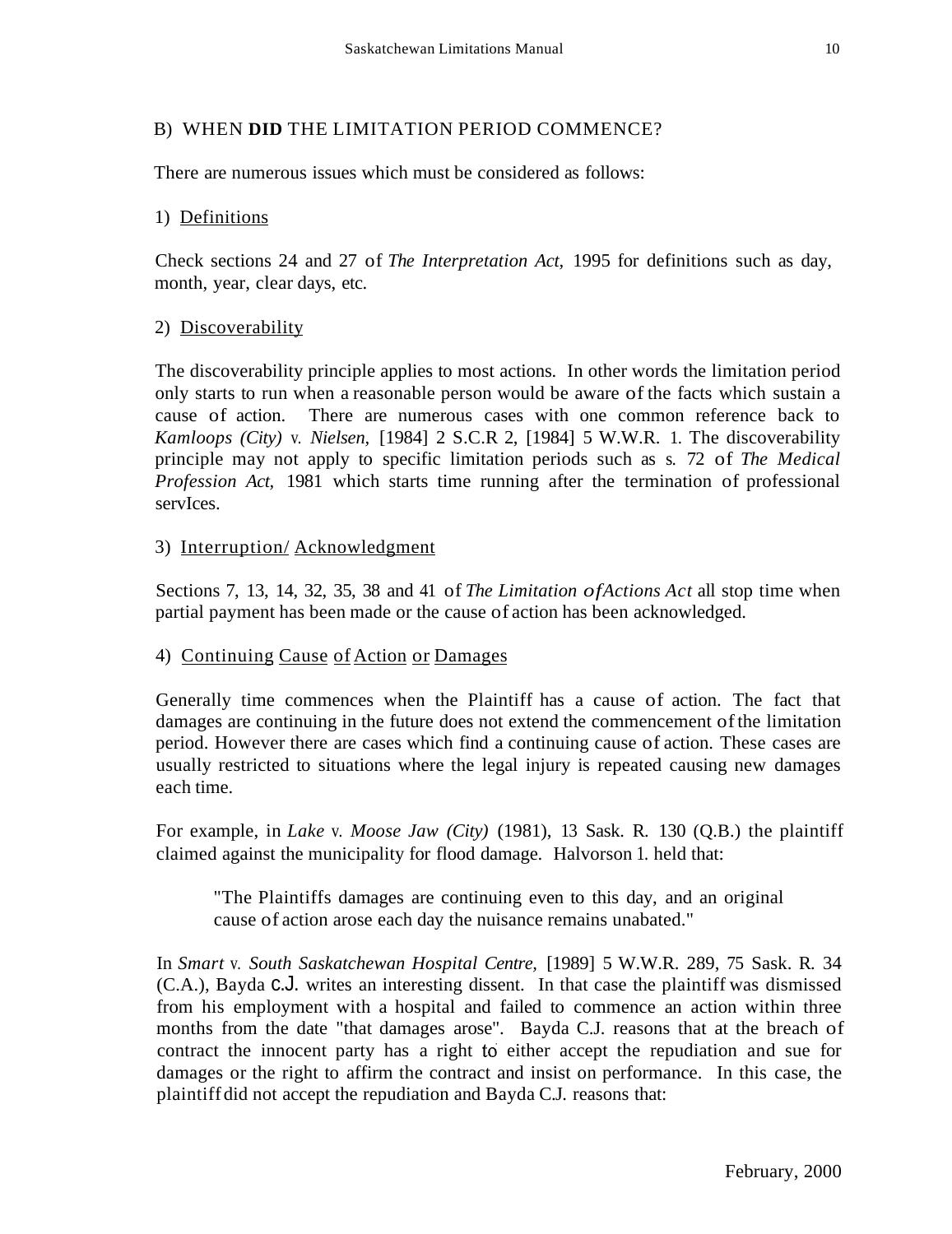## B) WHEN **DID** THE LIMITATION PERIOD COMMENCE?

There are numerous issues which must be considered as follows:

## 1) Definitions

Check sections 24 and 27 of *The Interpretation Act,* 1995 for definitions such as day, month, year, clear days, etc.

## 2) Discoverability

The discoverability principle applies to most actions. In other words the limitation period only starts to run when a reasonable person would be aware of the facts which sustain a cause of action. There are numerous cases with one common reference back to *Kamloops (City)* v. *Nielsen,* [1984] 2 S.C.R 2, [1984] 5 W.W.R. 1. The discoverability principle may not apply to specific limitation periods such as s. 72 of *The Medical Profession Act,* 1981 which starts time running after the termination of professional servIces.

## 3) Interruption/ Acknowledgment

Sections 7, 13, 14, 32, 35, 38 and 41 of *The Limitation ofActions Act* all stop time when partial payment has been made or the cause of action has been acknowledged.

## 4) Continuing Cause of Action or Damages

Generally time commences when the Plaintiff has a cause of action. The fact that damages are continuing in the future does not extend the commencement ofthe limitation period. However there are cases which find a continuing cause of action. These cases are usually restricted to situations where the legal injury is repeated causing new damages each time.

For example, in *Lake* v. *Moose Jaw (City)* (1981), 13 Sask. R. 130 (Q.B.) the plaintiff claimed against the municipality for flood damage. Halvorson 1. held that:

"The Plaintiffs damages are continuing even to this day, and an original cause of action arose each day the nuisance remains unabated."

In *Smart* v. *South Saskatchewan Hospital Centre,* [1989] 5 W.W.R. 289, 75 Sask. R. 34 (C.A.), Bayda c.J. writes an interesting dissent. In that case the plaintiff was dismissed from his employment with a hospital and failed to commence an action within three months from the date "that damages arose". Bayda C.J. reasons that at the breach of contract the innocent party has a right to either accept the repudiation and sue for damages or the right to affirm the contract and insist on performance. In this case, the plaintiff did not accept the repudiation and Bayda C.J. reasons that: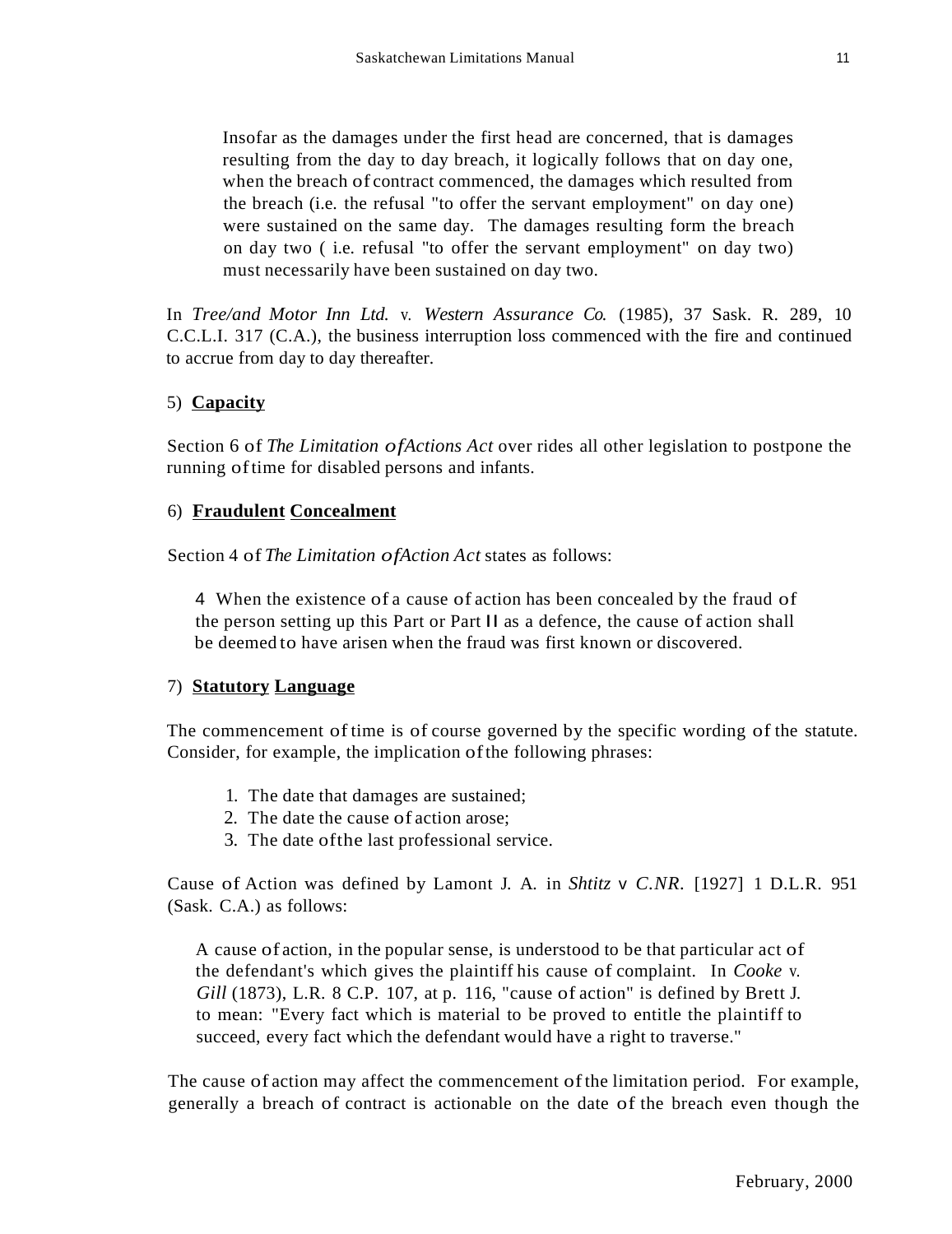Insofar as the damages under the first head are concerned, that is damages resulting from the day to day breach, it logically follows that on day one, when the breach of contract commenced, the damages which resulted from the breach (i.e. the refusal "to offer the servant employment" on day one) were sustained on the same day. The damages resulting form the breach on day two ( i.e. refusal "to offer the servant employment" on day two) must necessarily have been sustained on day two.

In *Tree/and Motor Inn Ltd.* v. *Western Assurance Co.* (1985), 37 Sask. R. 289, 10 C.C.L.I. 317 (C.A.), the business interruption loss commenced with the fire and continued to accrue from day to day thereafter.

## 5) **Capacity**

Section 6 of *The Limitation ofActions Act* over rides all other legislation to postpone the running oftime for disabled persons and infants.

## 6) **Fraudulent Concealment**

Section 4 of *The Limitation ofAction Act* states as follows:

4 When the existence of a cause of action has been concealed by the fraud of the person setting up this Part or Part II as a defence, the cause of action shall be deemed to have arisen when the fraud was first known or discovered.

## 7) **Statutory Language**

The commencement of time is of course governed by the specific wording of the statute. Consider, for example, the implication ofthe following phrases:

- 1. The date that damages are sustained;
- 2. The date the cause of action arose;
- 3. The date ofthe last professional service.

Cause of Action was defined by Lamont J. A. in *Shtitz* v *C.NR.* [1927] 1 D.L.R. 951 (Sask. C.A.) as follows:

A cause of action, in the popular sense, is understood to be that particular act of the defendant's which gives the plaintiff his cause of complaint. In *Cooke* v. *Gill* (1873), L.R. 8 C.P. 107, at p. 116, "cause of action" is defined by Brett J. to mean: "Every fact which is material to be proved to entitle the plaintiff to succeed, every fact which the defendant would have a right to traverse."

The cause of action may affect the commencement ofthe limitation period. For example, generally a breach of contract is actionable on the date of the breach even though the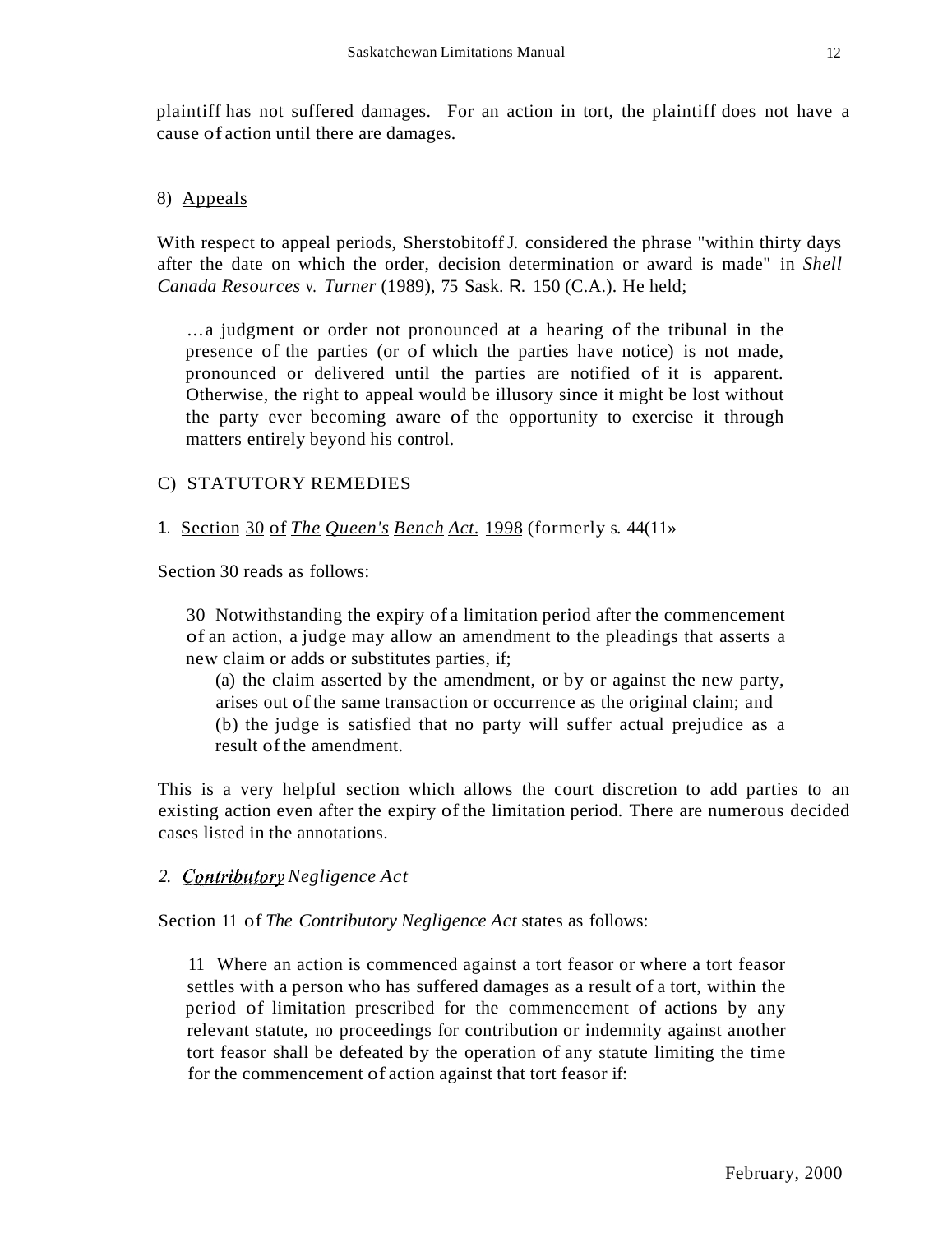plaintiff has not suffered damages. For an action in tort, the plaintiff does not have a cause of action until there are damages.

#### 8) Appeals

With respect to appeal periods, SherstobitoffJ. considered the phrase "within thirty days after the date on which the order, decision determination or award is made" in *Shell Canada Resources* v. *Turner* (1989), 75 Sask. R. 150 (C.A.). He held;

...a judgment or order not pronounced at a hearing of the tribunal in the presence of the parties (or of which the parties have notice) is not made, pronounced or delivered until the parties are notified of it is apparent. Otherwise, the right to appeal would be illusory since it might be lost without the party ever becoming aware of the opportunity to exercise it through matters entirely beyond his control.

#### C) STATUTORY REMEDIES

#### 1. Section 30 of *The Queen's Bench Act.* 1998 (formerly s. 44(11»

Section 30 reads as follows:

30 Notwithstanding the expiry of a limitation period after the commencement of an action, a judge may allow an amendment to the pleadings that asserts a new claim or adds or substitutes parties, if;

(a) the claim asserted by the amendment, or by or against the new party, arises out ofthe same transaction or occurrence as the original claim; and (b) the judge is satisfied that no party will suffer actual prejudice as a result ofthe amendment.

This is a very helpful section which allows the court discretion to add parties to an existing action even after the expiry of the limitation period. There are numerous decided cases listed in the annotations.

#### 2. *Contributory* Negligence Act

Section 11 of *The Contributory Negligence Act* states as follows:

11 Where an action is commenced against a tort feasor or where a tort feasor settles with a person who has suffered damages as a result of a tort, within the period of limitation prescribed for the commencement of actions by any relevant statute, no proceedings for contribution or indemnity against another tort feasor shall be defeated by the operation of any statute limiting the time for the commencement of action against that tort feasor if: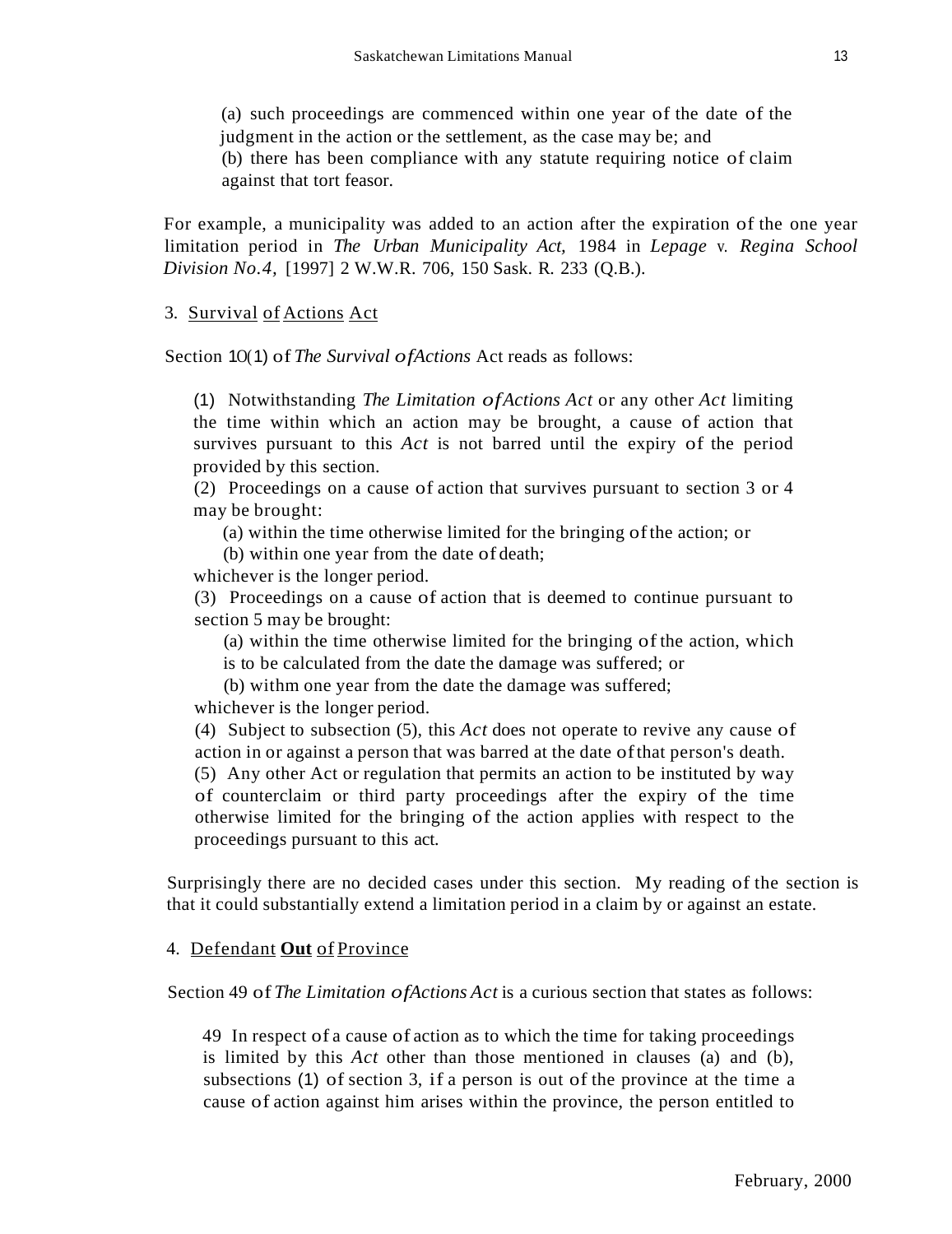(a) such proceedings are commenced within one year of the date of the judgment in the action or the settlement, as the case may be; and (b) there has been compliance with any statute requiring notice of claim against that tort feasor.

For example, a municipality was added to an action after the expiration of the one year limitation period in *The Urban Municipality Act,* 1984 in *Lepage* v. *Regina School Division No.4,* [1997] 2 W.W.R. 706, 150 Sask. R. 233 (Q.B.).

#### 3. Survival of Actions Act

Section 1O(1) of *The Survival ofActions* Act reads as follows:

(1) Notwithstanding *The Limitation ofActions Act* or any other *Act* limiting the time within which an action may be brought, a cause of action that survives pursuant to this *Act* is not barred until the expiry of the period provided by this section.

(2) Proceedings on a cause of action that survives pursuant to section 3 or 4 may be brought:

(a) within the time otherwise limited for the bringing ofthe action; or

(b) within one year from the date of death;

whichever is the longer period.

(3) Proceedings on a cause of action that is deemed to continue pursuant to section 5 may be brought:

(a) within the time otherwise limited for the bringing of the action, which

is to be calculated from the date the damage was suffered; or

(b) withm one year from the date the damage was suffered;

whichever is the longer period.

(4) Subject to subsection (5), this *Act* does not operate to revive any cause of action in or against a person that was barred at the date ofthat person's death.

(5) Any other Act or regulation that permits an action to be instituted by way of counterclaim or third party proceedings after the expiry of the time otherwise limited for the bringing of the action applies with respect to the proceedings pursuant to this act.

Surprisingly there are no decided cases under this section. My reading of the section is that it could substantially extend a limitation period in a claim by or against an estate.

## 4. Defendant **Out** of Province

Section 49 of*The Limitation ofActions Act* is a curious section that states as follows:

49 In respect of a cause of action as to which the time for taking proceedings is limited by this *Act* other than those mentioned in clauses (a) and (b), subsections (1) of section 3, if a person is out of the province at the time a cause of action against him arises within the province, the person entitled to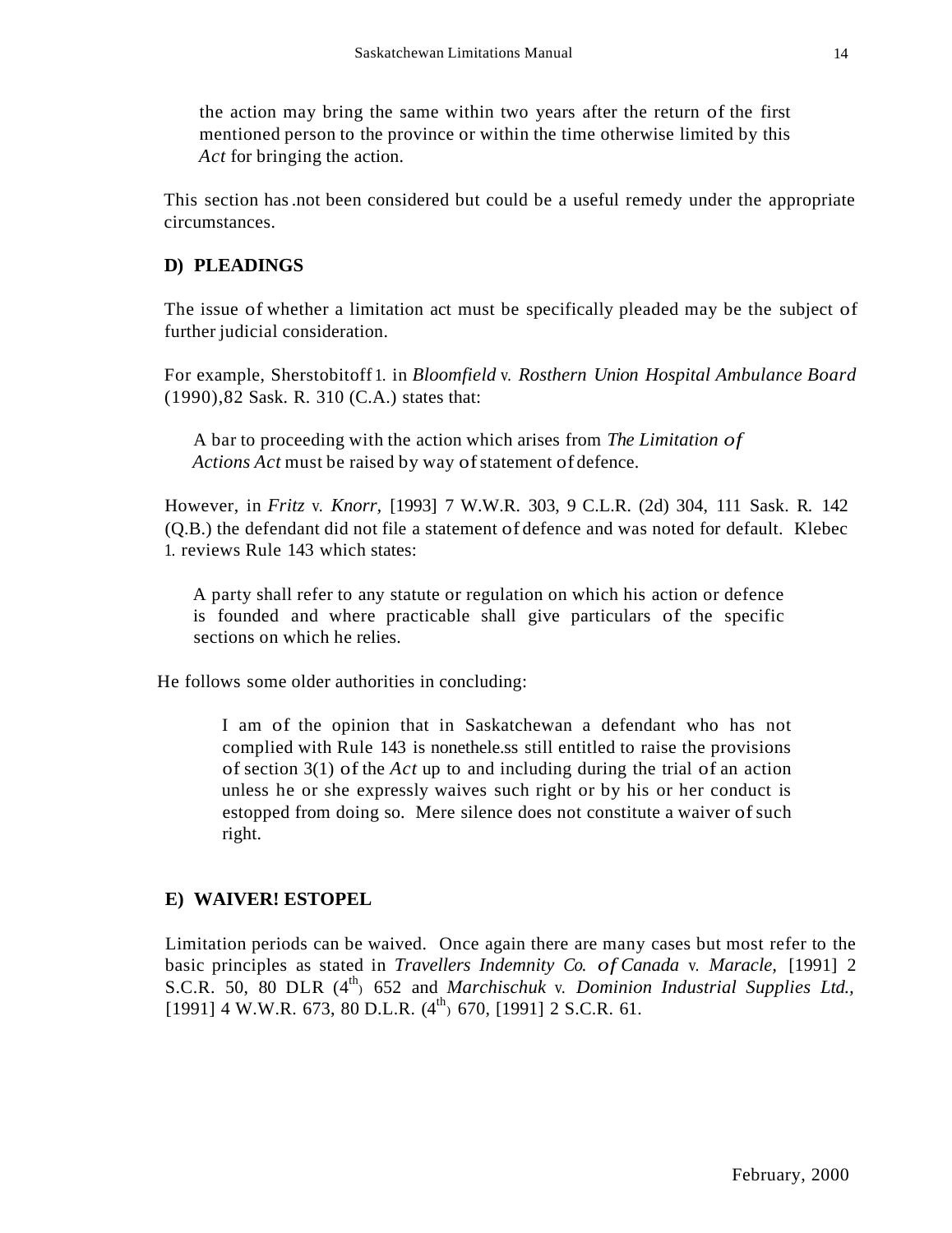the action may bring the same within two years after the return of the first mentioned person to the province or within the time otherwise limited by this *Act* for bringing the action.

This section has.not been considered but could be a useful remedy under the appropriate circumstances.

#### **D) PLEADINGS**

The issue of whether a limitation act must be specifically pleaded may be the subject of further judicial consideration.

For example, Sherstobitoff 1. in *Bloomfield* v. *Rosthern Union Hospital Ambulance Board* (1990),82 Sask. R. 310 (C.A.) states that:

A bar to proceeding with the action which arises from *The Limitation of Actions Act* must be raised by way of statement of defence.

However, in *Fritz* v. *Knorr,* [1993] 7 W.W.R. 303, 9 C.L.R. (2d) 304, 111 Sask. R. 142 (Q.B.) the defendant did not file a statement of defence and was noted for default. Klebec 1. reviews Rule 143 which states:

A party shall refer to any statute or regulation on which his action or defence is founded and where practicable shall give particulars of the specific sections on which he relies.

He follows some older authorities in concluding:

I am of the opinion that in Saskatchewan a defendant who has not complied with Rule 143 is nonethele.ss still entitled to raise the provisions of section 3(1) of the *Act* up to and including during the trial of an action unless he or she expressly waives such right or by his or her conduct is estopped from doing so. Mere silence does not constitute a waiver of such right.

#### **E) WAIVER! ESTOPEL**

Limitation periods can be waived. Once again there are many cases but most refer to the basic principles as stated in *Travellers Indemnity Co. of Canada* v. *Maracle,* [1991] 2 S.C.R. 50, 80 DLR (4<sup>th</sup>) 652 and *Marchischuk v. Dominion Industrial Supplies Ltd.*, [1991] 4 W.W.R. 673, 80 D.L.R.  $(4^{th})$  670, [1991] 2 S.C.R. 61.